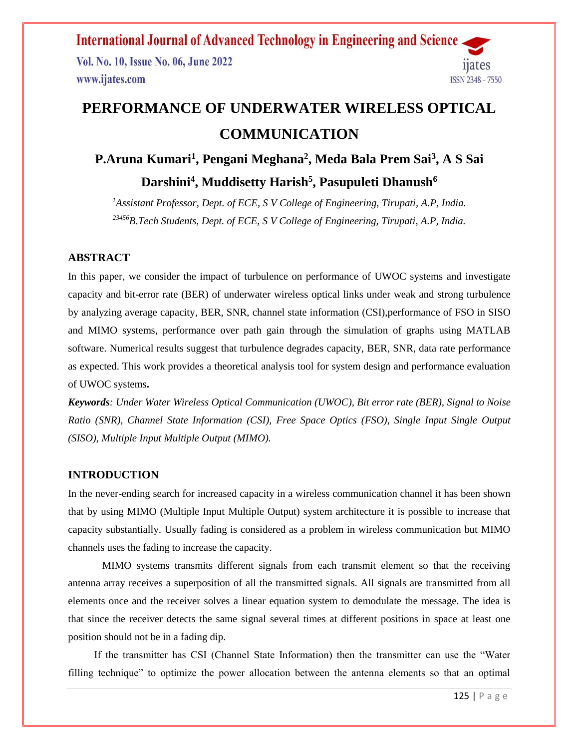Vol. No. 10, Issue No. 06, June 2022 www.ijates.com



# **PERFORMANCE OF UNDERWATER WIRELESS OPTICAL COMMUNICATION**

## **P.Aruna Kumari<sup>1</sup> , Pengani Meghana<sup>2</sup> , Meda Bala Prem Sai<sup>3</sup> , A S Sai Darshini<sup>4</sup> , Muddisetty Harish<sup>5</sup> , Pasupuleti Dhanush<sup>6</sup>**

*<sup>1</sup>Assistant Professor, Dept. of ECE, S V College of Engineering, Tirupati, A.P, India. <sup>23456</sup>B.Tech Students, Dept. of ECE, S V College of Engineering, Tirupati, A.P, India.*

#### **ABSTRACT**

In this paper, we consider the impact of turbulence on performance of UWOC systems and investigate capacity and bit-error rate (BER) of underwater wireless optical links under weak and strong turbulence by analyzing average capacity, BER, SNR, channel state information (CSI),performance of FSO in SISO and MIMO systems, performance over path gain through the simulation of graphs using MATLAB software. Numerical results suggest that turbulence degrades capacity, BER, SNR, data rate performance as expected. This work provides a theoretical analysis tool for system design and performance evaluation of UWOC systems**.** 

*Keywords: Under Water Wireless Optical Communication (UWOC), Bit error rate (BER), Signal to Noise Ratio (SNR), Channel State Information (CSI), Free Space Optics (FSO), Single Input Single Output (SISO), Multiple Input Multiple Output (MIMO).* 

#### **INTRODUCTION**

In the never-ending search for increased capacity in a wireless communication channel it has been shown that by using MIMO (Multiple Input Multiple Output) system architecture it is possible to increase that capacity substantially. Usually fading is considered as a problem in wireless communication but MIMO channels uses the fading to increase the capacity.

 MIMO systems transmits different signals from each transmit element so that the receiving antenna array receives a superposition of all the transmitted signals. All signals are transmitted from all elements once and the receiver solves a linear equation system to demodulate the message. The idea is that since the receiver detects the same signal several times at different positions in space at least one position should not be in a fading dip.

 If the transmitter has CSI (Channel State Information) then the transmitter can use the "Water filling technique" to optimize the power allocation between the antenna elements so that an optimal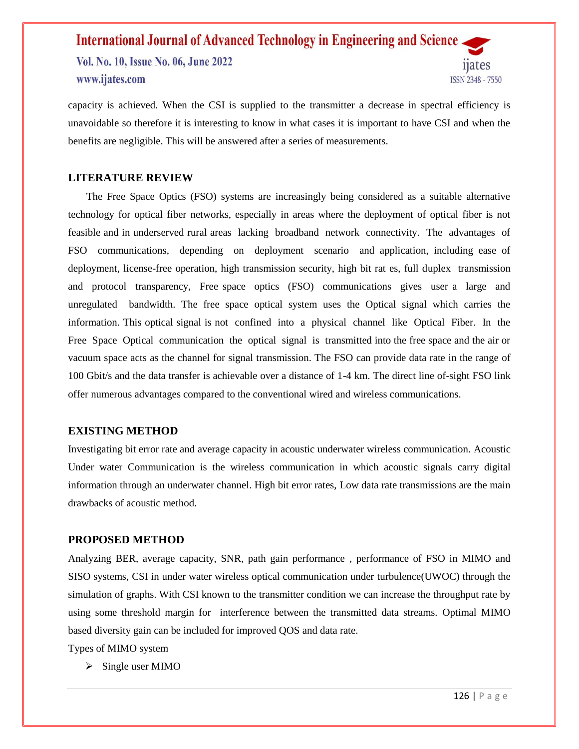Vol. No. 10, Issue No. 06, June 2022 www.ijates.com



capacity is achieved. When the CSI is supplied to the transmitter a decrease in spectral efficiency is unavoidable so therefore it is interesting to know in what cases it is important to have CSI and when the benefits are negligible. This will be answered after a series of measurements.

#### **LITERATURE REVIEW**

 The Free Space Optics (FSO) systems are increasingly being considered as a suitable alternative technology for optical fiber networks, especially in areas where the deployment of optical fiber is not feasible and in underserved rural areas lacking broadband network connectivity. The advantages of FSO communications, depending on deployment scenario and application, including ease of deployment, license-free operation, high transmission security, high bit rat es, full duplex transmission and protocol transparency, Free space optics (FSO) communications gives user a large and unregulated bandwidth. The free space optical system uses the Optical signal which carries the information. This optical signal is not confined into a physical channel like Optical Fiber. In the Free Space Optical communication the optical signal is transmitted into the free space and the air or vacuum space acts as the channel for signal transmission. The FSO can provide data rate in the range of 100 Gbit/s and the data transfer is achievable over a distance of 1-4 km. The direct line of-sight FSO link offer numerous advantages compared to the conventional wired and wireless communications.

#### **EXISTING METHOD**

Investigating bit error rate and average capacity in acoustic underwater wireless communication. Acoustic Under water Communication is the wireless communication in which acoustic signals carry digital information through an underwater channel. High bit error rates, Low data rate transmissions are the main drawbacks of acoustic method.

#### **PROPOSED METHOD**

Analyzing BER, average capacity, SNR, path gain performance , performance of FSO in MIMO and SISO systems, CSI in under water wireless optical communication under turbulence(UWOC) through the simulation of graphs. With CSI known to the transmitter condition we can increase the throughput rate by using some threshold margin for interference between the transmitted data streams. Optimal MIMO based diversity gain can be included for improved QOS and data rate.

Types of MIMO system

 $\triangleright$  Single user MIMO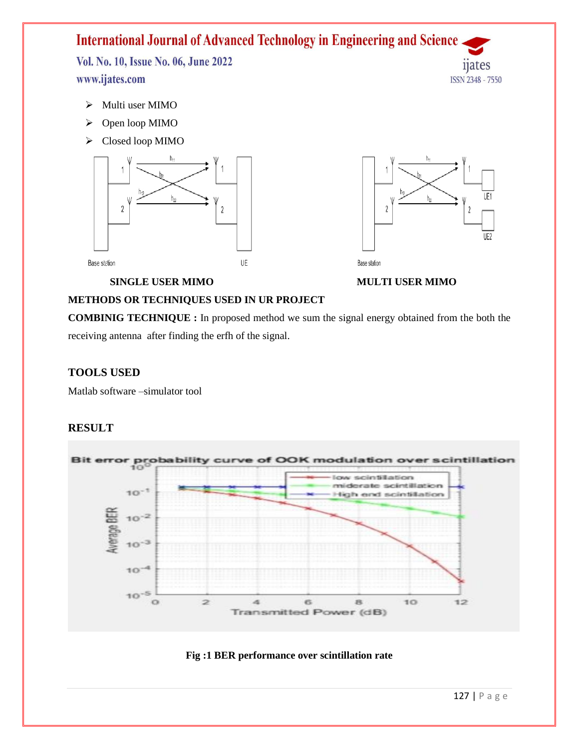Vol. No. 10, Issue No. 06, June 2022 www.ijates.com

- $\triangleright$  Multi user MIMO
- Open loop MIMO
- $\triangleright$  Closed loop MIMO





11ates

ISSN 2348 - 7550

**SINGLE USER MIMO** MULTI USER MIMO

#### **METHODS OR TECHNIQUES USED IN UR PROJECT**

**COMBINIG TECHNIQUE :** In proposed method we sum the signal energy obtained from the both the receiving antenna after finding the erfh of the signal.

#### **TOOLS USED**

Matlab software –simulator tool

#### **RESULT**



#### **Fig :1 BER performance over scintillation rate**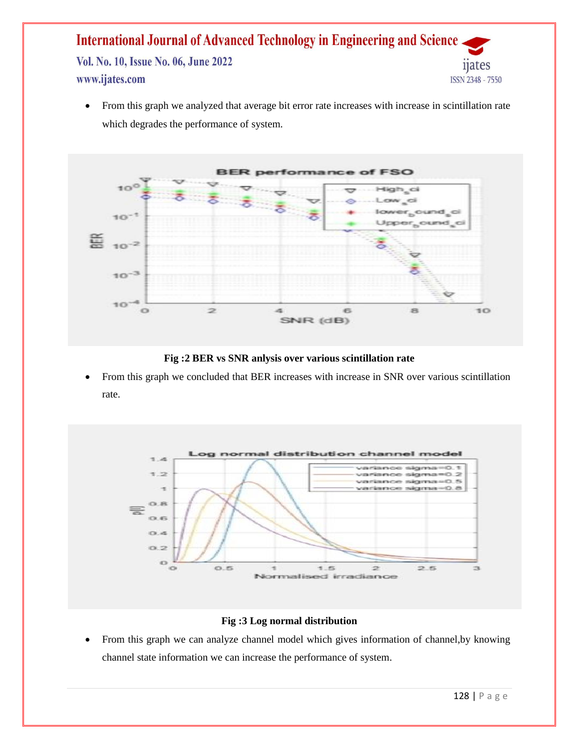#### **International Journal of Advanced Technology in Engineering and Science** Vol. No. 10, Issue No. 06, June 2022 11ates www.ijates.com ISSN 2348 - 7550

• From this graph we analyzed that average bit error rate increases with increase in scintillation rate which degrades the performance of system.



**Fig :2 BER vs SNR anlysis over various scintillation rate**

 From this graph we concluded that BER increases with increase in SNR over various scintillation rate.



#### **Fig :3 Log normal distribution**

 From this graph we can analyze channel model which gives information of channel,by knowing channel state information we can increase the performance of system.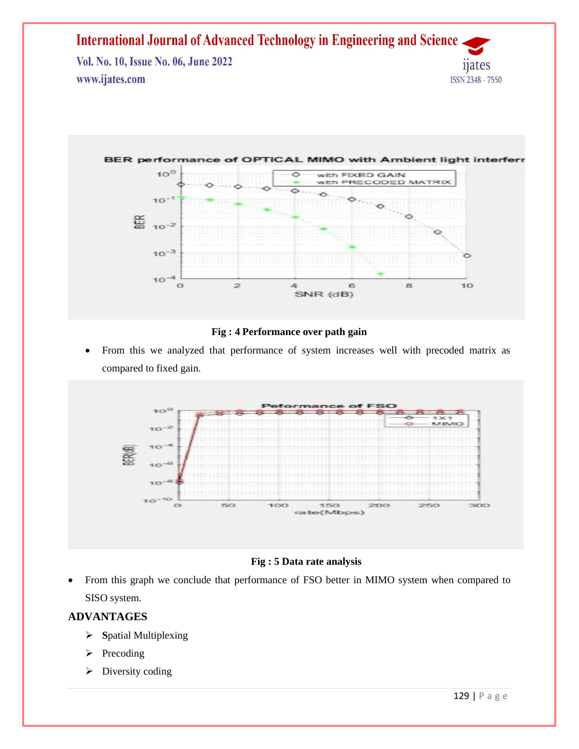



#### **Fig : 4 Performance over path gain**

 From this we analyzed that performance of system increases well with precoded matrix as compared to fixed gain.



#### **Fig : 5 Data rate analysis**

 From this graph we conclude that performance of FSO better in MIMO system when compared to SISO system.

#### **ADVANTAGES**

- **S**patial Multiplexing
- $\triangleright$  Precoding
- $\triangleright$  Diversity coding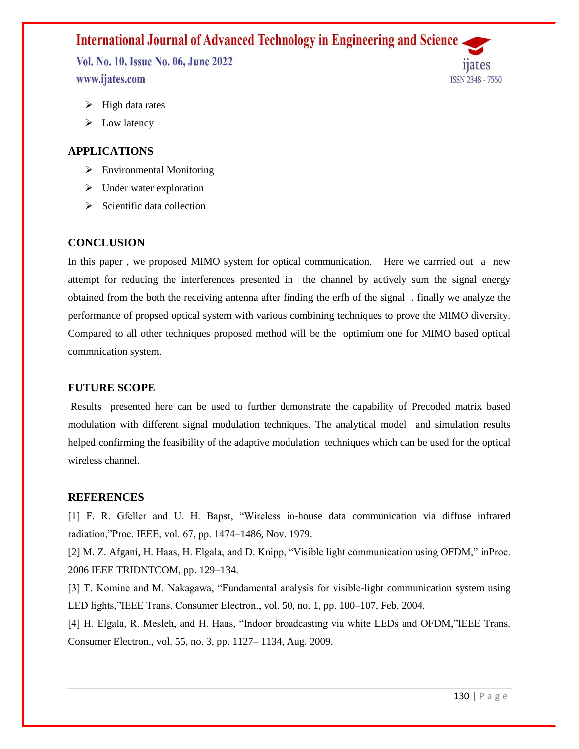Vol. No. 10, Issue No. 06, June 2022 www.ijates.com

ISSN 2348 - 7550

- $\triangleright$  High data rates
- $\triangleright$  Low latency

#### **APPLICATIONS**

- $\triangleright$  Environmental Monitoring
- $\triangleright$  Under water exploration
- $\triangleright$  Scientific data collection

#### **CONCLUSION**

In this paper , we proposed MIMO system for optical communication. Here we carrried out a new attempt for reducing the interferences presented in the channel by actively sum the signal energy obtained from the both the receiving antenna after finding the erfh of the signal . finally we analyze the performance of propsed optical system with various combining techniques to prove the MIMO diversity. Compared to all other techniques proposed method will be the optimium one for MIMO based optical commnication system.

#### **FUTURE SCOPE**

Results presented here can be used to further demonstrate the capability of Precoded matrix based modulation with different signal modulation techniques. The analytical model and simulation results helped confirming the feasibility of the adaptive modulation techniques which can be used for the optical wireless channel.

#### **REFERENCES**

[1] F. R. Gfeller and U. H. Bapst, "Wireless in-house data communication via diffuse infrared radiation,"Proc. IEEE, vol. 67, pp. 1474–1486, Nov. 1979.

[2] M. Z. Afgani, H. Haas, H. Elgala, and D. Knipp, "Visible light communication using OFDM," inProc. 2006 IEEE TRIDNTCOM, pp. 129–134.

[3] T. Komine and M. Nakagawa, "Fundamental analysis for visible-light communication system using LED lights,"IEEE Trans. Consumer Electron., vol. 50, no. 1, pp. 100–107, Feb. 2004.

[4] H. Elgala, R. Mesleh, and H. Haas, "Indoor broadcasting via white LEDs and OFDM,"IEEE Trans. Consumer Electron., vol. 55, no. 3, pp. 1127– 1134, Aug. 2009.